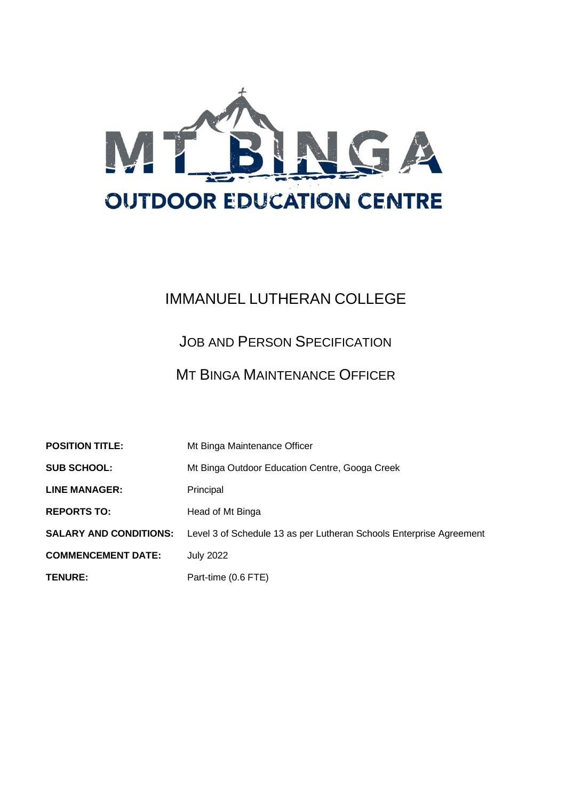

# IMMANUEL LUTHERAN COLLEGE

JOB AND PERSON SPECIFICATION

# MT BINGA MAINTENANCE OFFICER

| <b>POSITION TITLE:</b>        | Mt Binga Maintenance Officer                                        |
|-------------------------------|---------------------------------------------------------------------|
| <b>SUB SCHOOL:</b>            | Mt Binga Outdoor Education Centre, Googa Creek                      |
| <b>LINE MANAGER:</b>          | Principal                                                           |
| <b>REPORTS TO:</b>            | Head of Mt Binga                                                    |
| <b>SALARY AND CONDITIONS:</b> | Level 3 of Schedule 13 as per Lutheran Schools Enterprise Agreement |
| <b>COMMENCEMENT DATE:</b>     | <b>July 2022</b>                                                    |
| <b>TENURE:</b>                | Part-time (0.6 FTE)                                                 |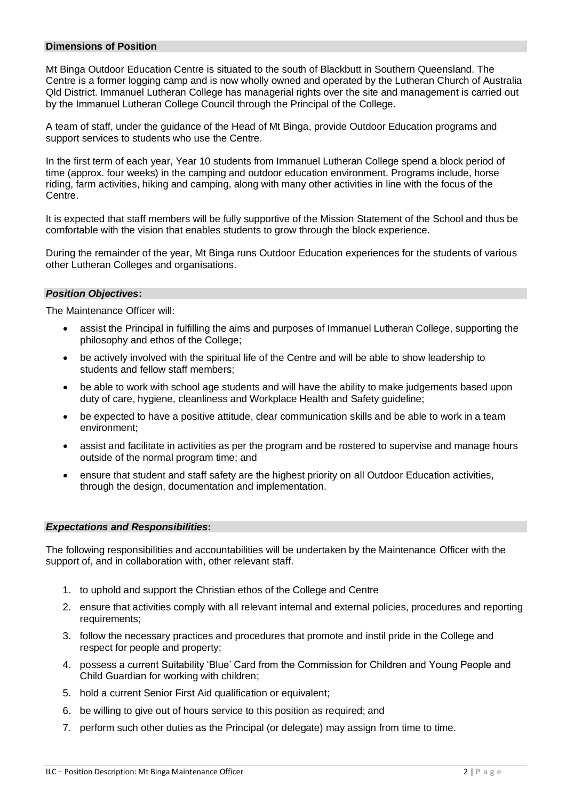## **Dimensions of Position**

Mt Binga Outdoor Education Centre is situated to the south of Blackbutt in Southern Queensland. The Centre is a former logging camp and is now wholly owned and operated by the Lutheran Church of Australia Qld District. Immanuel Lutheran College has managerial rights over the site and management is carried out by the Immanuel Lutheran College Council through the Principal of the College.

A team of staff, under the guidance of the Head of Mt Binga, provide Outdoor Education programs and support services to students who use the Centre.

In the first term of each year, Year 10 students from Immanuel Lutheran College spend a block period of time (approx. four weeks) in the camping and outdoor education environment. Programs include, horse riding, farm activities, hiking and camping, along with many other activities in line with the focus of the Centre.

It is expected that staff members will be fully supportive of the Mission Statement of the School and thus be comfortable with the vision that enables students to grow through the block experience.

During the remainder of the year, Mt Binga runs Outdoor Education experiences for the students of various other Lutheran Colleges and organisations.

## *Position Objectives***:**

The Maintenance Officer will:

- assist the Principal in fulfilling the aims and purposes of Immanuel Lutheran College, supporting the philosophy and ethos of the College;
- be actively involved with the spiritual life of the Centre and will be able to show leadership to students and fellow staff members;
- be able to work with school age students and will have the ability to make judgements based upon duty of care, hygiene, cleanliness and Workplace Health and Safety guideline;
- be expected to have a positive attitude, clear communication skills and be able to work in a team environment;
- assist and facilitate in activities as per the program and be rostered to supervise and manage hours outside of the normal program time; and
- ensure that student and staff safety are the highest priority on all Outdoor Education activities, through the design, documentation and implementation.

## *Expectations and Responsibilities***:**

The following responsibilities and accountabilities will be undertaken by the Maintenance Officer with the support of, and in collaboration with, other relevant staff.

- 1. to uphold and support the Christian ethos of the College and Centre
- 2. ensure that activities comply with all relevant internal and external policies, procedures and reporting requirements;
- 3. follow the necessary practices and procedures that promote and instil pride in the College and respect for people and property;
- 4. possess a current Suitability 'Blue' Card from the Commission for Children and Young People and Child Guardian for working with children;
- 5. hold a current Senior First Aid qualification or equivalent;
- 6. be willing to give out of hours service to this position as required; and
- 7. perform such other duties as the Principal (or delegate) may assign from time to time.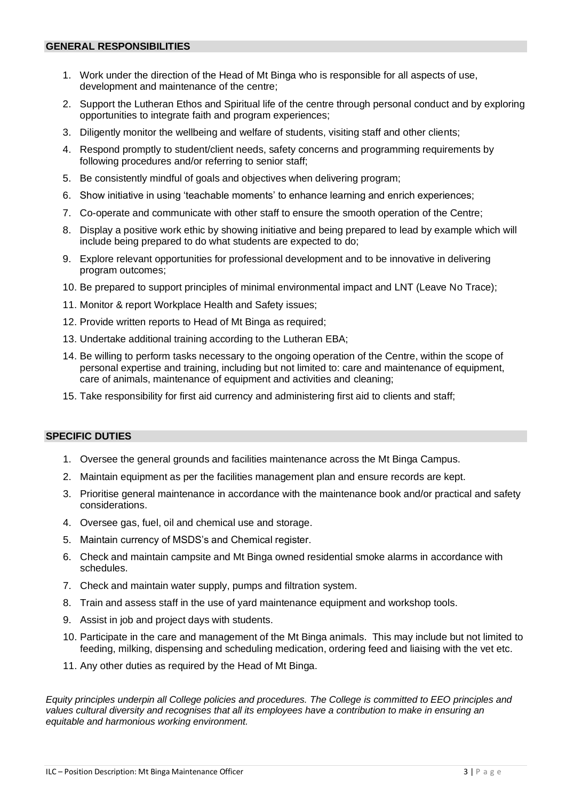- 1. Work under the direction of the Head of Mt Binga who is responsible for all aspects of use, development and maintenance of the centre;
- 2. Support the Lutheran Ethos and Spiritual life of the centre through personal conduct and by exploring opportunities to integrate faith and program experiences;
- 3. Diligently monitor the wellbeing and welfare of students, visiting staff and other clients;
- 4. Respond promptly to student/client needs, safety concerns and programming requirements by following procedures and/or referring to senior staff;
- 5. Be consistently mindful of goals and objectives when delivering program;
- 6. Show initiative in using 'teachable moments' to enhance learning and enrich experiences;
- 7. Co-operate and communicate with other staff to ensure the smooth operation of the Centre;
- 8. Display a positive work ethic by showing initiative and being prepared to lead by example which will include being prepared to do what students are expected to do;
- 9. Explore relevant opportunities for professional development and to be innovative in delivering program outcomes;
- 10. Be prepared to support principles of minimal environmental impact and LNT (Leave No Trace);
- 11. Monitor & report Workplace Health and Safety issues;
- 12. Provide written reports to Head of Mt Binga as required;
- 13. Undertake additional training according to the Lutheran EBA;
- 14. Be willing to perform tasks necessary to the ongoing operation of the Centre, within the scope of personal expertise and training, including but not limited to: care and maintenance of equipment, care of animals, maintenance of equipment and activities and cleaning;
- 15. Take responsibility for first aid currency and administering first aid to clients and staff;

# **SPECIFIC DUTIES**

- 1. Oversee the general grounds and facilities maintenance across the Mt Binga Campus.
- 2. Maintain equipment as per the facilities management plan and ensure records are kept.
- 3. Prioritise general maintenance in accordance with the maintenance book and/or practical and safety considerations.
- 4. Oversee gas, fuel, oil and chemical use and storage.
- 5. Maintain currency of MSDS's and Chemical register.
- 6. Check and maintain campsite and Mt Binga owned residential smoke alarms in accordance with schedules.
- 7. Check and maintain water supply, pumps and filtration system.
- 8. Train and assess staff in the use of yard maintenance equipment and workshop tools.
- 9. Assist in job and project days with students.
- 10. Participate in the care and management of the Mt Binga animals. This may include but not limited to feeding, milking, dispensing and scheduling medication, ordering feed and liaising with the vet etc.
- 11. Any other duties as required by the Head of Mt Binga.

*Equity principles underpin all College policies and procedures. The College is committed to EEO principles and values cultural diversity and recognises that all its employees have a contribution to make in ensuring an equitable and harmonious working environment.*